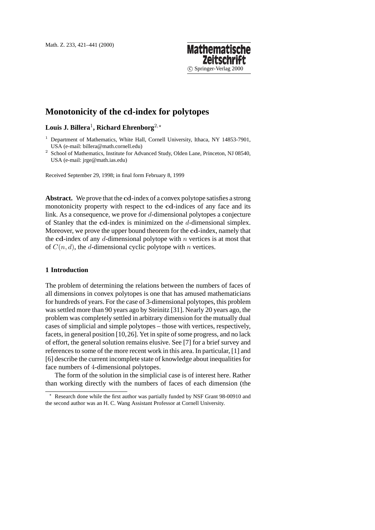## **Mathematische Zeitsch** c Springer-Verlag 2000

# **Monotonicity of the cd-index for polytopes**

## **Louis J. Billera**1**, Richard Ehrenborg**2,?

<sup>2</sup> School of Mathematics, Institute for Advanced Study, Olden Lane, Princeton, NJ 08540, USA (e-mail: jrge@math.ias.edu)

Received September 29, 1998; in final form February 8, 1999

**Abstract.** We prove that the **cd**-index of a convex polytope satisfies a strong monotonicity property with respect to the **cd**-indices of any face and its link. As a consequence, we prove for  $d$ -dimensional polytopes a conjecture of Stanley that the **cd**-index is minimized on the d-dimensional simplex. Moreover, we prove the upper bound theorem for the **cd**-index, namely that the  $cd$ -index of any  $d$ -dimensional polytope with  $n$  vertices is at most that of  $C(n, d)$ , the d-dimensional cyclic polytope with n vertices.

## **1 Introduction**

The problem of determining the relations between the numbers of faces of all dimensions in convex polytopes is one that has amused mathematicians for hundreds of years. For the case of 3-dimensional polytopes, this problem was settled more than 90 years ago by Steinitz [31]. Nearly 20 years ago, the problem was completely settled in arbitrary dimension for the mutually dual cases of simplicial and simple polytopes – those with vertices, respectively, facets, in general position [10,26]. Yet in spite of some progress, and no lack of effort, the general solution remains elusive. See [7] for a brief survey and references to some of the more recent work in this area. In particular, [1] and [6] describe the current incomplete state of knowledge about inequalities for face numbers of 4-dimensional polytopes.

The form of the solution in the simplicial case is of interest here. Rather than working directly with the numbers of faces of each dimension (the

<sup>&</sup>lt;sup>1</sup> Department of Mathematics, White Hall, Cornell University, Ithaca, NY 14853-7901, USA (e-mail: billera@math.cornell.edu)

<sup>?</sup> Research done while the first author was partially funded by NSF Grant 98-00910 and the second author was an H. C. Wang Assistant Professor at Cornell University.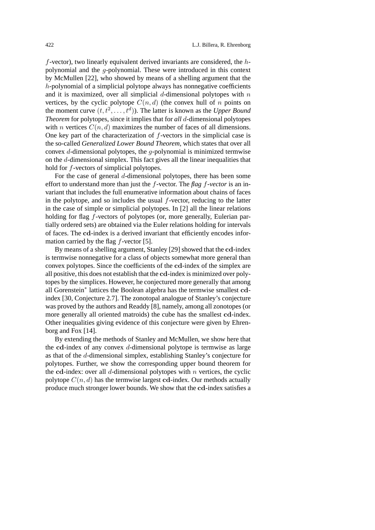$f$ -vector), two linearly equivalent derived invariants are considered, the  $h$ polynomial and the g-polynomial. These were introduced in this context by McMullen [22], who showed by means of a shelling argument that the h-polynomial of a simplicial polytope always has nonnegative coefficients and it is maximized, over all simplicial  $d$ -dimensional polytopes with  $n$ vertices, by the cyclic polytope  $C(n, d)$  (the convex hull of n points on the moment curve  $(t, t^2, \ldots, t^d)$ ). The latter is known as the *Upper Bound Theorem* for polytopes, since it implies that for *all* d-dimensional polytopes with *n* vertices  $C(n, d)$  maximizes the number of faces of all dimensions. One key part of the characterization of  $f$ -vectors in the simplicial case is the so-called *Generalized Lower Bound Theorem*, which states that over all convex  $d$ -dimensional polytopes, the  $q$ -polynomial is minimized termwise on the d-dimensional simplex. This fact gives all the linear inequalities that hold for f-vectors of simplicial polytopes.

For the case of general d-dimensional polytopes, there has been some effort to understand more than just the f-vector. The *flag* f*-vector* is an invariant that includes the full enumerative information about chains of faces in the polytope, and so includes the usual  $f$ -vector, reducing to the latter in the case of simple or simplicial polytopes. In [2] all the linear relations holding for flag *f*-vectors of polytopes (or, more generally, Eulerian partially ordered sets) are obtained via the Euler relations holding for intervals of faces. The **cd**-index is a derived invariant that efficiently encodes information carried by the flag  $f$ -vector [5].

By means of a shelling argument, Stanley [29] showed that the **cd**-index is termwise nonnegative for a class of objects somewhat more general than convex polytopes. Since the coefficients of the **cd**-index of the simplex are all positive, this does not establish that the **cd**-index is minimized over polytopes by the simplices. However, he conjectured more generally that among all Gorenstein<sup>∗</sup> lattices the Boolean algebra has the termwise smallest **cd**index [30, Conjecture 2.7]. The zonotopal analogue of Stanley's conjecture was proved by the authors and Readdy [8], namely, among all zonotopes (or more generally all oriented matroids) the cube has the smallest **cd**-index. Other inequalities giving evidence of this conjecture were given by Ehrenborg and Fox [14].

By extending the methods of Stanley and McMullen, we show here that the **cd**-index of any convex d-dimensional polytope is termwise as large as that of the d-dimensional simplex, establishing Stanley's conjecture for polytopes. Further, we show the corresponding upper bound theorem for the  $cd$ -index: over all d-dimensional polytopes with  $n$  vertices, the cyclic polytope  $C(n, d)$  has the termwise largest **cd**-index. Our methods actually produce much stronger lower bounds. We show that the **cd**-index satisfies a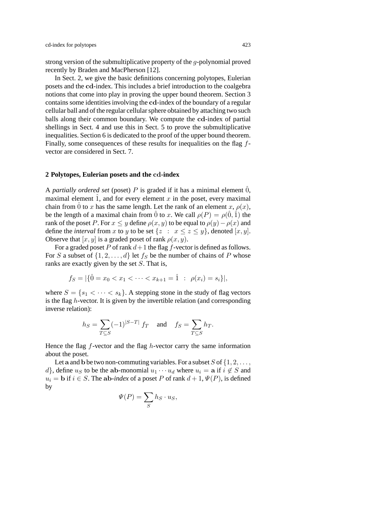strong version of the submultiplicative property of the g-polynomial proved recently by Braden and MacPherson [12].

In Sect. 2, we give the basic definitions concerning polytopes, Eulerian posets and the **cd**-index. This includes a brief introduction to the coalgebra notions that come into play in proving the upper bound theorem. Section 3 contains some identities involving the **cd**-index of the boundary of a regular cellular ball and of the regular cellular sphere obtained by attaching two such balls along their common boundary. We compute the **cd**-index of partial shellings in Sect. 4 and use this in Sect. 5 to prove the submultiplicative inequalities. Section 6 is dedicated to the proof of the upper bound theorem. Finally, some consequences of these results for inequalities on the flag fvector are considered in Sect. 7.

### **2 Polytopes, Eulerian posets and the cd-index**

A *partially ordered set* (poset) P is graded if it has a minimal element  $\hat{0}$ , maximal element  $\hat{1}$ , and for every element x in the poset, every maximal chain from  $\hat{0}$  to x has the same length. Let the rank of an element x,  $\rho(x)$ , be the length of a maximal chain from  $\hat{0}$  to x. We call  $\rho(P) = \rho(\hat{0}, \hat{1})$  the rank of the poset P. For  $x \leq y$  define  $\rho(x, y)$  to be equal to  $\rho(y) - \rho(x)$  and define the *interval* from x to y to be set  $\{z : x \le z \le y\}$ , denoted  $[x, y]$ . Observe that  $[x, y]$  is a graded poset of rank  $\rho(x, y)$ .

For a graded poset P of rank  $d+1$  the flag f-vector is defined as follows. For S a subset of  $\{1, 2, ..., d\}$  let  $f_S$  be the number of chains of P whose ranks are exactly given by the set S. That is,

$$
f_S = |\{\hat{0} = x_0 < x_1 < \dots < x_{k+1} = \hat{1} \; : \; \rho(x_i) = s_i\}|,
$$

where  $S = \{s_1 < \cdots < s_k\}$ . A stepping stone in the study of flag vectors is the flag h-vector. It is given by the invertible relation (and corresponding inverse relation):

$$
h_S = \sum_{T \subseteq S} (-1)^{|S-T|} f_T \quad \text{and} \quad f_S = \sum_{T \subseteq S} h_T.
$$

Hence the flag  $f$ -vector and the flag  $h$ -vector carry the same information about the poset.

Let a and b be two non-commuting variables. For a subset  $S$  of  $\{1, 2, \ldots,$ d}, define  $u_S$  to be the **ab**-monomial  $u_1 \cdots u_d$  where  $u_i = \mathbf{a}$  if  $i \notin S$  and  $u_i = \mathbf{b}$  if  $i \in S$ . The **ab**-index of a poset P of rank  $d+1, \Psi(P)$ , is defined by

$$
\Psi(P) = \sum_{S} h_S \cdot u_S,
$$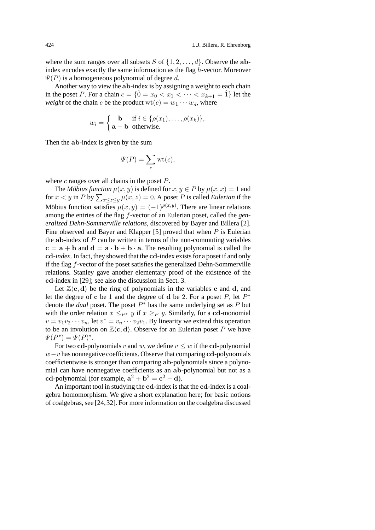where the sum ranges over all subsets S of  $\{1, 2, \ldots, d\}$ . Observe the abindex encodes exactly the same information as the flag h-vector. Moreover  $\Psi(P)$  is a homogeneous polynomial of degree d.

Another way to view the **ab**-index is by assigning a weight to each chain in the poset P. For a chain  $c = \{\hat{0} = x_0 < x_1 < \cdots < x_{k+1} = \hat{1}\}\)$  let the *weight* of the chain c be the product  $wt(c) = w_1 \cdots w_d$ , where

$$
w_i = \begin{cases} \mathbf{b} & \text{if } i \in \{\rho(x_1), \dots, \rho(x_k)\}, \\ \mathbf{a} - \mathbf{b} & \text{otherwise.} \end{cases}
$$

Then the **ab**-index is given by the sum

$$
\Psi(P) = \sum_c \text{wt}(c),
$$

where  $c$  ranges over all chains in the poset  $P$ .

The *Möbius function*  $\mu(x, y)$  is defined for  $x, y \in P$  by  $\mu(x, x) = 1$  and for  $x < y$  in P by  $\sum_{x \le z \le y} \mu(x, z) = 0$ . A poset P is called *Eulerian* if the Möbius function satisfies  $\mu(x,y) = (-1)^{\rho(x,y)}$ . There are linear relations among the entries of the flag f-vector of an Eulerian poset, called the *generalized Dehn-Sommerville relations*, discovered by Bayer and Billera [2]. Fine observed and Bayer and Klapper [5] proved that when  $P$  is Eulerian the  $ab$ -index of  $P$  can be written in terms of the non-commuting variables  $c = a + b$  and  $d = a \cdot b + b \cdot a$ . The resulting polynomial is called the **cd***-index*. In fact, they showed that the **cd**-index exists for a poset if and only if the flag f-vector of the poset satisfies the generalized Dehn-Sommerville relations. Stanley gave another elementary proof of the existence of the **cd**-index in [29]; see also the discussion in Sect. 3.

Let  $\mathbb{Z}\langle \mathbf{c}, \mathbf{d} \rangle$  be the ring of polynomials in the variables **c** and **d**, and let the degree of **c** be 1 and the degree of **d** be 2. For a poset  $P$ , let  $P^*$ denote the *dual* poset. The poset  $P^*$  has the same underlying set as P but with the order relation  $x \leq_{P^*} y$  if  $x \geq_P y$ . Similarly, for a cd-monomial  $v = v_1v_2 \cdots v_n$ , let  $v^* = v_n \cdots v_2v_1$ . By linearity we extend this operation to be an involution on  $\mathbb{Z}\langle \mathbf{c}, \mathbf{d} \rangle$ . Observe for an Eulerian poset P we have  $\Psi(P^*) = \Psi(P)^*.$ 

For two **cd**-polynomials v and w, we define  $v \leq w$  if the **cd**-polynomial w−v has nonnegative coefficients. Observe that comparing **cd**-polynomials coefficientwise is stronger than comparing **ab**-polynomials since a polynomial can have nonnegative coefficients as an **ab**-polynomial but not as a **cd**-polynomial (for example,  $\mathbf{a}^2 + \mathbf{b}^2 = \mathbf{c}^2 - \mathbf{d}$ ).

An important tool in studying the **cd**-index is that the **cd**-index is a coalgebra homomorphism. We give a short explanation here; for basic notions of coalgebras, see [24,32]. For more information on the coalgebra discussed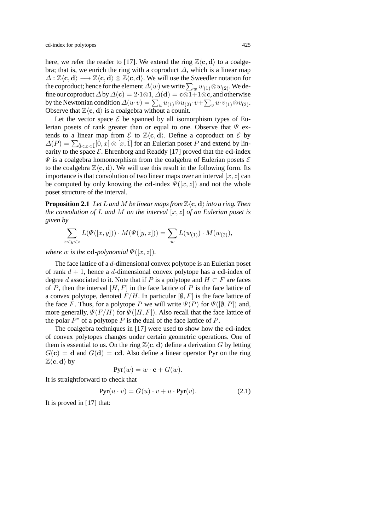here, we refer the reader to [17]. We extend the ring  $\mathbb{Z}\langle \mathbf{c}, \mathbf{d} \rangle$  to a coalgebra; that is, we enrich the ring with a coproduct  $\Delta$ , which is a linear map  $\Delta : \mathbb{Z}\langle \mathbf{c}, \mathbf{d} \rangle \longrightarrow \mathbb{Z}\langle \mathbf{c}, \mathbf{d} \rangle \otimes \mathbb{Z}\langle \mathbf{c}, \mathbf{d} \rangle$ . We will use the Sweedler notation for the coproduct; hence for the element  $\varDelta(w)$  we write  $\sum_w w_{(1)} \otimes w_{(2)} .$  We define our coproduct  $\Delta$  by  $\Delta$ (**c**) = 2·1⊗1,  $\Delta$ (**d**) = **c**⊗1+1⊗**c**, and otherwise by the Newtonian condition  $\Delta(u \cdot v) = \sum_u u_{(1)} \otimes u_{(2)} \cdot v + \sum_v u \cdot v_{(1)} \otimes v_{(2)}$ . Observe that  $\mathbb{Z}\langle \mathbf{c}, \mathbf{d} \rangle$  is a coalgebra without a counit.

Let the vector space  $\mathcal E$  be spanned by all isomorphism types of Eulerian posets of rank greater than or equal to one. Observe that  $\Psi$  extends to a linear map from  $\mathcal{E}$  to  $\mathbb{Z}\langle \mathbf{c}, \mathbf{d} \rangle$ . Define a coproduct on  $\mathcal{E}$  by  $\Delta(P) = \sum_{\hat{n} < r < \hat{1}} [\hat{0}, x] \otimes [x, \hat{1}]$  for an Eulerian poset P and extend by linearity to the space  $\mathcal{E}$ . Ehrenborg and Readdy [17] proved that the **cd**-index  $\Psi$  is a coalgebra homomorphism from the coalgebra of Eulerian posets  $\mathcal E$ to the coalgebra  $\mathbb{Z}\langle \mathbf{c}, \mathbf{d} \rangle$ . We will use this result in the following form. Its importance is that convolution of two linear maps over an interval  $[x, z]$  can be computed by only knowing the **cd**-index  $\Psi([x, z])$  and not the whole poset structure of the interval.

**Proposition 2.1** *Let L* and *M be linear maps from*  $\mathbb{Z}\langle \mathbf{c}, \mathbf{d} \rangle$  *into a ring. Then the convolution of* L *and* M *on the interval* [x, z] *of an Eulerian poset is given by*

$$
\sum_{x < y < z} L(\Psi([x, y])) \cdot M(\Psi([y, z])) = \sum_{w} L(w_{(1)}) \cdot M(w_{(2)}),
$$

*where w is the* **cd***-polynomial*  $\Psi([x, z])$ *.* 

The face lattice of a d-dimensional convex polytope is an Eulerian poset of rank d + 1, hence a d-dimensional convex polytope has a **cd**-index of degree d associated to it. Note that if P is a polytope and  $H \subset F$  are faces of P, then the interval  $[H, F]$  in the face lattice of P is the face lattice of a convex polytope, denoted  $F/H$ . In particular  $[0, F]$  is the face lattice of the face F. Thus, for a polytope P we will write  $\Psi(P)$  for  $\Psi([\emptyset, P])$  and, more generally,  $\Psi(F/H)$  for  $\Psi([H, F])$ . Also recall that the face lattice of the polar  $P^*$  of a polytope P is the dual of the face lattice of P.

The coalgebra techniques in [17] were used to show how the **cd**-index of convex polytopes changes under certain geometric operations. One of them is essential to us. On the ring  $\mathbb{Z}\langle \mathbf{c}, \mathbf{d} \rangle$  define a derivation G by letting  $G(c) = d$  and  $G(d) = cd$ . Also define a linear operator Pyr on the ring  $\mathbb{Z}\langle \mathbf{c}, \mathbf{d} \rangle$  by

$$
Pyr(w) = w \cdot \mathbf{c} + G(w).
$$

It is straightforward to check that

$$
Pyr(u \cdot v) = G(u) \cdot v + u \cdot Pyr(v). \tag{2.1}
$$

It is proved in [17] that: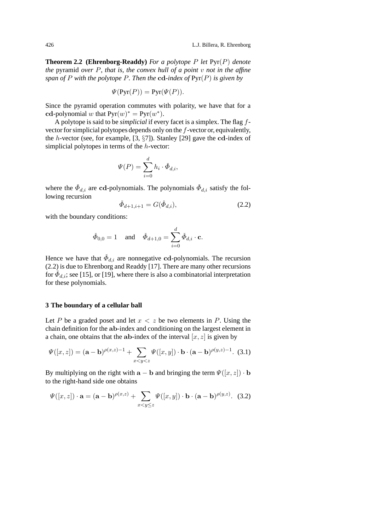**Theorem 2.2 (Ehrenborg-Readdy)** *For a polytope* P *let* Pyr(P) *denote the* pyramid *over* P*, that is, the convex hull of a point* v *not in the affine span of* P *with the polytope* P*. Then the* **cd***-index of* Pyr(P) *is given by*

$$
\Psi(\text{Pyr}(P)) = \text{Pyr}(\Psi(P)).
$$

Since the pyramid operation commutes with polarity, we have that for a **cd**-polynomial w that  $Pyr(w)^* = Pyr(w^*)$ .

A polytope is said to be *simplicial* if every facet is a simplex. The flag fvector for simplicial polytopes depends only on the f-vector or, equivalently, the h-vector (see, for example, [3, §7]). Stanley [29] gave the **cd**-index of simplicial polytopes in terms of the h-vector:

$$
\Psi(P) = \sum_{i=0}^d h_i \cdot \check{\Phi}_{d,i},
$$

where the  $\check{\Phi}_{d,i}$  are **cd**-polynomials. The polynomials  $\check{\Phi}_{d,i}$  satisfy the following recursion

$$
\check{\Phi}_{d+1,i+1} = G(\check{\Phi}_{d,i}),\tag{2.2}
$$

with the boundary conditions:

$$
\check{\Phi}_{0,0} = 1
$$
 and  $\check{\Phi}_{d+1,0} = \sum_{i=0}^{d} \check{\Phi}_{d,i} \cdot \mathbf{c}.$ 

Hence we have that  $\check{\Phi}_{d,i}$  are nonnegative **cd**-polynomials. The recursion (2.2) is due to Ehrenborg and Readdy [17]. There are many other recursions for  $\check{\Phi}_{d,i}$ ; see [15], or [19], where there is also a combinatorial interpretation for these polynomials.

#### **3 The boundary of a cellular ball**

Let P be a graded poset and let  $x < z$  be two elements in P. Using the chain definition for the **ab**-index and conditioning on the largest element in a chain, one obtains that the  $ab$ -index of the interval  $[x, z]$  is given by

$$
\Psi([x,z]) = (\mathbf{a} - \mathbf{b})^{\rho(x,z)-1} + \sum_{x < y < z} \Psi([x,y]) \cdot \mathbf{b} \cdot (\mathbf{a} - \mathbf{b})^{\rho(y,z)-1}.
$$
 (3.1)

By multiplying on the right with  $\mathbf{a} - \mathbf{b}$  and bringing the term  $\Psi([x, z]) \cdot \mathbf{b}$ to the right-hand side one obtains

$$
\Psi([x,z]) \cdot \mathbf{a} = (\mathbf{a} - \mathbf{b})^{\rho(x,z)} + \sum_{x < y \le z} \Psi([x,y]) \cdot \mathbf{b} \cdot (\mathbf{a} - \mathbf{b})^{\rho(y,z)}.
$$
 (3.2)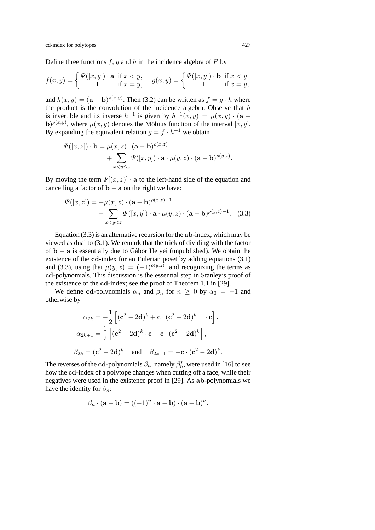Define three functions  $f, g$  and  $h$  in the incidence algebra of  $P$  by

$$
f(x,y) = \begin{cases} \Psi([x,y]) \cdot \mathbf{a} & \text{if } x < y, \\ 1 & \text{if } x = y, \end{cases} \quad g(x,y) = \begin{cases} \Psi([x,y]) \cdot \mathbf{b} & \text{if } x < y, \\ 1 & \text{if } x = y, \end{cases}
$$

and  $h(x, y) = (\mathbf{a} - \mathbf{b})^{\rho(x, y)}$ . Then (3.2) can be written as  $f = g \cdot h$  where the product is the convolution of the incidence algebra. Observe that  $h$ is invertible and its inverse  $h^{-1}$  is given by  $h^{-1}(x, y) = \mu(x, y) \cdot (\mathbf{a}$ **b**) $\rho(x,y)$ , where  $\mu(x,y)$  denotes the Möbius function of the interval  $[x, y]$ . By expanding the equivalent relation  $q = f \cdot h^{-1}$  we obtain

$$
\Psi([x,z]) \cdot \mathbf{b} = \mu(x,z) \cdot (\mathbf{a}-\mathbf{b})^{\rho(x,z)} + \sum_{x < y \leq z} \Psi([x,y]) \cdot \mathbf{a} \cdot \mu(y,z) \cdot (\mathbf{a}-\mathbf{b})^{\rho(y,z)}.
$$

By moving the term  $\Psi[(x, z)] \cdot \mathbf{a}$  to the left-hand side of the equation and cancelling a factor of  $\mathbf{b} - \mathbf{a}$  on the right we have:

$$
\Psi([x,z]) = -\mu(x,z) \cdot (\mathbf{a} - \mathbf{b})^{\rho(x,z)-1} - \sum_{x < y < z} \Psi([x,y]) \cdot \mathbf{a} \cdot \mu(y,z) \cdot (\mathbf{a} - \mathbf{b})^{\rho(y,z)-1}.
$$
 (3.3)

Equation (3.3) is an alternative recursion for the **ab**-index, which may be viewed as dual to (3.1). We remark that the trick of dividing with the factor of **b** − **a** is essentially due to Gabor Hetyei (unpublished). We obtain the ´ existence of the **cd**-index for an Eulerian poset by adding equations (3.1) and (3.3), using that  $\mu(y, z) = (-1)^{\rho(y, z)}$ , and recognizing the terms as **cd**-polynomials. This discussion is the essential step in Stanley's proof of the existence of the **cd**-index; see the proof of Theorem 1.1 in [29].

We define **cd**-polynomials  $\alpha_n$  and  $\beta_n$  for  $n \geq 0$  by  $\alpha_0 = -1$  and otherwise by

$$
\alpha_{2k} = -\frac{1}{2} \left[ (\mathbf{c}^2 - 2\mathbf{d})^k + \mathbf{c} \cdot (\mathbf{c}^2 - 2\mathbf{d})^{k-1} \cdot \mathbf{c} \right],
$$
  
\n
$$
\alpha_{2k+1} = \frac{1}{2} \left[ (\mathbf{c}^2 - 2\mathbf{d})^k \cdot \mathbf{c} + \mathbf{c} \cdot (\mathbf{c}^2 - 2\mathbf{d})^k \right],
$$
  
\n
$$
\beta_{2k} = (\mathbf{c}^2 - 2\mathbf{d})^k \quad \text{and} \quad \beta_{2k+1} = -\mathbf{c} \cdot (\mathbf{c}^2 - 2\mathbf{d})^k.
$$

The reverses of the cd-polynomials  $\beta_n$ , namely  $\beta_n^*$ , were used in [16] to see how the **cd**-index of a polytope changes when cutting off a face, while their negatives were used in the existence proof in [29]. As **ab**-polynomials we have the identity for  $\beta_n$ :

$$
\beta_n \cdot (\mathbf{a} - \mathbf{b}) = ((-1)^n \cdot \mathbf{a} - \mathbf{b}) \cdot (\mathbf{a} - \mathbf{b})^n.
$$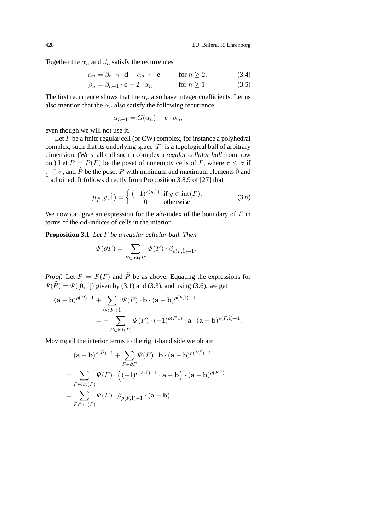Together the  $\alpha_n$  and  $\beta_n$  satisfy the recurrences

$$
\alpha_n = \beta_{n-2} \cdot \mathbf{d} - \alpha_{n-1} \cdot \mathbf{c} \qquad \text{for } n \ge 2,
$$
 (3.4)

$$
\beta_n = \beta_{n-1} \cdot \mathbf{c} - 2 \cdot \alpha_n \qquad \text{for } n \ge 1. \tag{3.5}
$$

The first recurrence shows that the  $\alpha_n$  also have integer coefficients. Let us also mention that the  $\alpha_n$  also satisfy the following recurrence

$$
\alpha_{n+1} = G(\alpha_n) - \mathbf{c} \cdot \alpha_n,
$$

even though we will not use it.

Let  $\Gamma$  be a finite regular cell (or CW) complex, for instance a polyhedral complex, such that its underlying space  $|\Gamma|$  is a topological ball of arbitrary dimension. (We shall call such a complex a *regular cellular ball* from now on.) Let  $P = P(\Gamma)$  be the poset of nonempty cells of  $\Gamma$ , where  $\tau \leq \sigma$  if  $\overline{\tau} \subseteq \overline{\sigma}$ , and  $\widehat{P}$  be the poset P with minimum and maximum elements  $\hat{0}$  and  $\hat{1}$  adjoined. It follows directly from Proposition 3.8.9 of [27] that

$$
\mu_{\hat{P}}(y,\hat{1}) = \begin{cases}\n(-1)^{\rho(y,\hat{1})} & \text{if } y \in \text{int}(\Gamma), \\
0 & \text{otherwise.} \n\end{cases}
$$
\n(3.6)

We now can give an expression for the  $ab$ -index of the boundary of  $\Gamma$  in terms of the **cd**-indices of cells in the interior.

**Proposition 3.1** *Let* Γ *be a regular cellular ball. Then*

$$
\Psi(\partial \Gamma) = \sum_{F \in \text{int}(\Gamma)} \Psi(F) \cdot \beta_{\rho(F,\hat{1})-1}.
$$

*Proof.* Let  $P = P(\Gamma)$  and  $\hat{P}$  be as above. Equating the expressions for  $\Psi(\widehat{P}) = \Psi([\hat{0}, \hat{1}])$  given by (3.1) and (3.3), and using (3.6), we get

$$
(\mathbf{a} - \mathbf{b})^{\rho(\widehat{P})-1} + \sum_{\hat{0} < F < \hat{1}} \Psi(F) \cdot \mathbf{b} \cdot (\mathbf{a} - \mathbf{b})^{\rho(F,\hat{1})-1}
$$
\n
$$
= - \sum_{F \in \text{int}(F)} \Psi(F) \cdot (-1)^{\rho(F,\hat{1})} \cdot \mathbf{a} \cdot (\mathbf{a} - \mathbf{b})^{\rho(F,\hat{1})-1}.
$$

Moving all the interior terms to the right-hand side we obtain

$$
(\mathbf{a} - \mathbf{b})^{\rho(\widehat{P})-1} + \sum_{F \in \partial \Gamma} \Psi(F) \cdot \mathbf{b} \cdot (\mathbf{a} - \mathbf{b})^{\rho(F,\hat{1})-1}
$$
  
= 
$$
\sum_{F \in \text{int}(\Gamma)} \Psi(F) \cdot \left( (-1)^{\rho(F,\hat{1})-1} \cdot \mathbf{a} - \mathbf{b} \right) \cdot (\mathbf{a} - \mathbf{b})^{\rho(F,\hat{1})-1}
$$
  
= 
$$
\sum_{F \in \text{int}(\Gamma)} \Psi(F) \cdot \beta_{\rho(F,\hat{1})-1} \cdot (\mathbf{a} - \mathbf{b}).
$$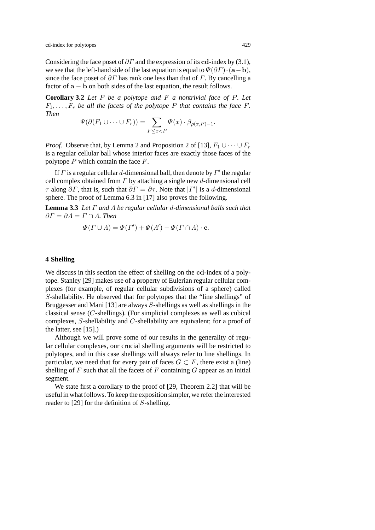Considering the face poset of  $\partial \Gamma$  and the expression of its **cd**-index by (3.1), we see that the left-hand side of the last equation is equal to  $\Psi(\partial \Gamma) \cdot (\mathbf{a} - \mathbf{b})$ , since the face poset of  $\partial \Gamma$  has rank one less than that of  $\Gamma$ . By cancelling a factor of  $\mathbf{a} - \mathbf{b}$  on both sides of the last equation, the result follows.

**Corollary 3.2** *Let* P *be a polytope and* F *a nontrivial face of* P*. Let*  $F_1, \ldots, F_r$  *be all the facets of the polytope* P *that contains the face* F. *Then*

$$
\Psi(\partial(F_1 \cup \dots \cup F_r)) = \sum_{F \leq x < P} \Psi(x) \cdot \beta_{\rho(x, P) - 1}.
$$

*Proof.* Observe that, by Lemma 2 and Proposition 2 of [13],  $F_1 \cup \cdots \cup F_r$ is a regular cellular ball whose interior faces are exactly those faces of the polytope  $P$  which contain the face  $F$ .

If  $\Gamma$  is a regular cellular d-dimensional ball, then denote by  $\Gamma'$  the regular cell complex obtained from  $\Gamma$  by attaching a single new d-dimensional cell  $\tau$  along  $\partial \Gamma$ , that is, such that  $\partial \Gamma = \partial \tau$ . Note that  $|\Gamma'|$  is a d-dimensional sphere. The proof of Lemma 6.3 in [17] also proves the following.

**Lemma 3.3** *Let* Γ *and* Λ *be regular cellular* d*-dimensional balls such that*  $\partial \Gamma = \partial A = \Gamma \cap A$ . Then

$$
\Psi(\Gamma \cup \Lambda) = \Psi(\Gamma') + \Psi(\Lambda') - \Psi(\Gamma \cap \Lambda) \cdot \mathbf{c}.
$$

## **4 Shelling**

We discuss in this section the effect of shelling on the **cd**-index of a polytope. Stanley [29] makes use of a property of Eulerian regular cellular complexes (for example, of regular cellular subdivisions of a sphere) called S-shellability. He observed that for polytopes that the "line shellings" of Bruggesser and Mani [13] are always S-shellings as well as shellings in the classical sense (C-shellings). (For simplicial complexes as well as cubical complexes, S-shellability and C-shellability are equivalent; for a proof of the latter, see [15].)

Although we will prove some of our results in the generality of regular cellular complexes, our crucial shelling arguments will be restricted to polytopes, and in this case shellings will always refer to line shellings. In particular, we need that for every pair of faces  $G \subset F$ , there exist a (line) shelling of  $F$  such that all the facets of  $F$  containing  $G$  appear as an initial segment.

We state first a corollary to the proof of [29, Theorem 2.2] that will be useful in what follows. To keep the exposition simpler, we refer the interested reader to [29] for the definition of S-shelling.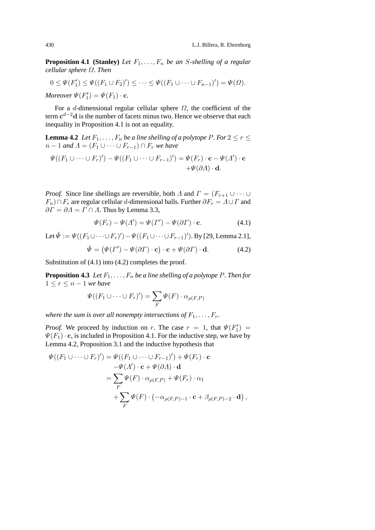**Proposition 4.1** (Stanley) Let  $F_1, \ldots, F_n$  be an S-shelling of a regular *cellular sphere* Ω*. Then*

$$
0 \leq \Psi(F'_1) \leq \Psi((F_1 \cup F_2)') \leq \cdots \leq \Psi((F_1 \cup \cdots \cup F_{n-1})') = \Psi(\Omega).
$$
  
Moreover  $\Psi(F'_1) = \Psi(F_1) \cdot \mathbf{c}$ .

For a d-dimensional regular cellular sphere  $\Omega$ , the coefficient of the term **c**d−2**d** is the number of facets minus two. Hence we observe that each inequality in Proposition 4.1 is not an equality.

**Lemma 4.2** *Let*  $F_1, \ldots, F_n$  *be a line shelling of a polytope* P*. For*  $2 \le r \le$  $n-1$  *and*  $\Lambda = (F_1 \cup \cdots \cup F_{r-1}) \cap F_r$  *we have* 

$$
\Psi((F_1 \cup \cdots \cup F_r)') - \Psi((F_1 \cup \cdots \cup F_{r-1})') = \Psi(F_r) \cdot \mathbf{c} - \Psi(\Lambda') \cdot \mathbf{c} \n+ \Psi(\partial \Lambda) \cdot \mathbf{d}.
$$

*Proof.* Since line shellings are reversible, both  $\Lambda$  and  $\Gamma = (F_{r+1} \cup \cdots \cup F_{r+1})$  $F_n$ )∩ $F_r$  are regular cellular d-dimensional balls. Further  $\partial F_r = \Lambda \cup \Gamma$  and  $\partial \Gamma = \partial \Lambda = \Gamma \cap \Lambda$ . Thus by Lemma 3.3,

$$
\Psi(F_r) - \Psi(\Lambda') = \Psi(\Gamma') - \Psi(\partial \Gamma) \cdot \mathbf{c}.\tag{4.1}
$$

Let 
$$
\check{\Psi} := \Psi((F_1 \cup \cdots \cup F_r)') - \Psi((F_1 \cup \cdots \cup F_{r-1})')
$$
. By [29, Lemma 2.1],

$$
\breve{\Psi} = (\Psi(\Gamma') - \Psi(\partial \Gamma) \cdot \mathbf{c}) \cdot \mathbf{c} + \Psi(\partial \Gamma) \cdot \mathbf{d}.
$$
 (4.2)

Substitution of (4.1) into (4.2) completes the proof.

**Proposition 4.3** *Let*  $F_1, \ldots, F_n$  *be a line shelling of a polytope* P. *Then for*  $1 \leq r \leq n-1$  *we have* 

$$
\Psi((F_1 \cup \dots \cup F_r)') = \sum_F \Psi(F) \cdot \alpha_{\rho(F,P)}
$$

*where the sum is over all nonempty intersections of*  $F_1, \ldots, F_r$ .

*Proof.* We proceed by induction on r. The case  $r = 1$ , that  $\Psi(F_1') =$  $\Psi(F_1) \cdot \mathbf{c}$ , is included in Proposition 4.1. For the inductive step, we have by Lemma 4.2, Proposition 3.1 and the inductive hypothesis that

$$
\Psi((F_1 \cup \dots \cup F_r)') = \Psi((F_1 \cup \dots \cup F_{r-1})') + \Psi(F_r) \cdot \mathbf{c}
$$
  
\n
$$
-\Psi(\Lambda') \cdot \mathbf{c} + \Psi(\partial \Lambda) \cdot \mathbf{d}
$$
  
\n
$$
= \sum_F \Psi(F) \cdot \alpha_{\rho(F,P)} + \Psi(F_r) \cdot \alpha_1
$$
  
\n
$$
+ \sum_F \Psi(F) \cdot (-\alpha_{\rho(F,P)-1} \cdot \mathbf{c} + \beta_{\rho(F,P)-2} \cdot \mathbf{d}),
$$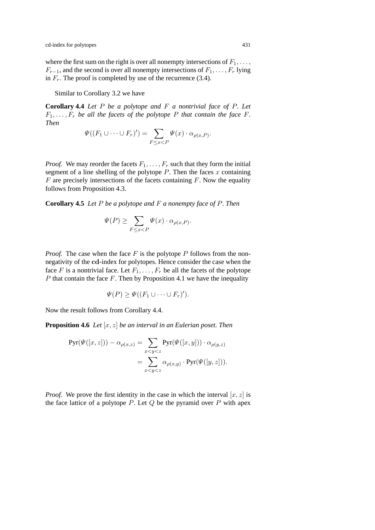where the first sum on the right is over all nonempty intersections of  $F_1, \ldots$ ,  $F_{r-1}$ , and the second is over all nonempty intersections of  $F_1, \ldots, F_r$  lying in  $F_r$ . The proof is completed by use of the recurrence (3.4).

Similar to Corollary 3.2 we have

**Corollary 4.4** *Let* P *be a polytope and* F *a nontrivial face of* P*. Let*  $F_1, \ldots, F_r$  *be all the facets of the polytope* P *that contain the face* F. *Then*

$$
\Psi((F_1 \cup \dots \cup F_r)') = \sum_{F \leq x < P} \Psi(x) \cdot \alpha_{\rho(x,P)}.
$$

*Proof.* We may reorder the facets  $F_1, \ldots, F_r$  such that they form the initial segment of a line shelling of the polytope  $P$ . Then the faces  $x$  containing  $F$  are precisely intersections of the facets containing  $F$ . Now the equality follows from Proposition 4.3.

**Corollary 4.5** *Let* P *be a polytope and* F *a nonempty face of* P*. Then*

$$
\Psi(P) \ge \sum_{F \le x < P} \Psi(x) \cdot \alpha_{\rho(x,P)}.
$$

*Proof.* The case when the face  $F$  is the polytope  $P$  follows from the nonnegativity of the **cd**-index for polytopes. Hence consider the case when the face F is a nontrivial face. Let  $F_1, \ldots, F_r$  be all the facets of the polytope  $P$  that contain the face  $F$ . Then by Proposition 4.1 we have the inequality

$$
\Psi(P) \geq \Psi((F_1 \cup \dots \cup F_r)').
$$

Now the result follows from Corollary 4.4.

**Proposition 4.6** *Let* [x, z] *be an interval in an Eulerian poset. Then*

$$
\text{Pyr}(\Psi([x,z])) - \alpha_{\rho(x,z)} = \sum_{x < y < z} \text{Pyr}(\Psi([x,y])) \cdot \alpha_{\rho(y,z)} \\
= \sum_{x < y < z} \alpha_{\rho(x,y)} \cdot \text{Pyr}(\Psi([y,z])).
$$

*Proof.* We prove the first identity in the case in which the interval  $[x, z]$  is the face lattice of a polytope  $P$ . Let  $Q$  be the pyramid over  $P$  with apex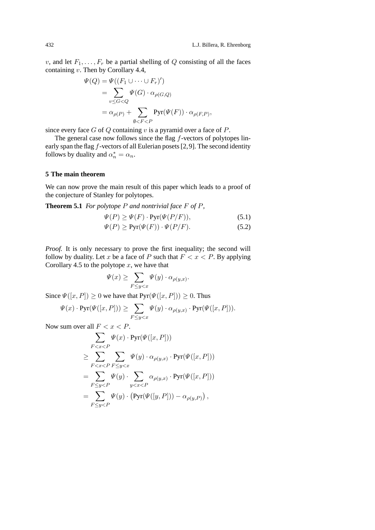v, and let  $F_1, \ldots, F_r$  be a partial shelling of Q consisting of all the faces containing v. Then by Corollary 4.4,

$$
\Psi(Q) = \Psi((F_1 \cup \dots \cup F_r)')
$$
  
= 
$$
\sum_{v \leq G < Q} \Psi(G) \cdot \alpha_{\rho(G,Q)}
$$
  
= 
$$
\alpha_{\rho(P)} + \sum_{\emptyset < F < P} \text{Pyr}(\Psi(F)) \cdot \alpha_{\rho(F,P)},
$$

since every face  $G$  of  $Q$  containing  $v$  is a pyramid over a face of  $P$ .

The general case now follows since the flag  $f$ -vectors of polytopes linearly span the flag f-vectors of all Eulerian posets [2,9]. The second identity follows by duality and  $\alpha_n^* = \alpha_n$ .

## **5 The main theorem**

We can now prove the main result of this paper which leads to a proof of the conjecture of Stanley for polytopes.

**Theorem 5.1** *For polytope* P *and nontrivial face* F *of* P*,*

$$
\Psi(P) \ge \Psi(F) \cdot \text{Pyr}(\Psi(P/F)),\tag{5.1}
$$

$$
\Psi(P) \ge \text{Pyr}(\Psi(F)) \cdot \Psi(P/F). \tag{5.2}
$$

*Proof.* It is only necessary to prove the first inequality; the second will follow by duality. Let x be a face of P such that  $F < x < P$ . By applying Corollary 4.5 to the polytope  $x$ , we have that

$$
\Psi(x) \ge \sum_{F \le y < x} \Psi(y) \cdot \alpha_{\rho(y,x)}.
$$

Since  $\Psi([x, P]) \ge 0$  we have that  $Pyr(\Psi([x, P])) \ge 0$ . Thus

$$
\Psi(x) \cdot \text{Pyr}(\Psi([x, P])) \ge \sum_{F \le y < x} \Psi(y) \cdot \alpha_{\rho(y, x)} \cdot \text{Pyr}(\Psi([x, P])).
$$

Now sum over all  $F < x < P$ .

$$
\sum_{F < x < P} \Psi(x) \cdot \text{Pyr}(\Psi([x, P]))
$$
\n
$$
\geq \sum_{F < x < P} \sum_{F \leq y < x} \Psi(y) \cdot \alpha_{\rho(y, x)} \cdot \text{Pyr}(\Psi([x, P]))
$$
\n
$$
= \sum_{F \leq y < P} \Psi(y) \cdot \sum_{y < x < P} \alpha_{\rho(y, x)} \cdot \text{Pyr}(\Psi([x, P]))
$$
\n
$$
= \sum_{F \leq y < P} \Psi(y) \cdot \left(\text{Pyr}(\Psi([y, P])) - \alpha_{\rho(y, P)}\right),
$$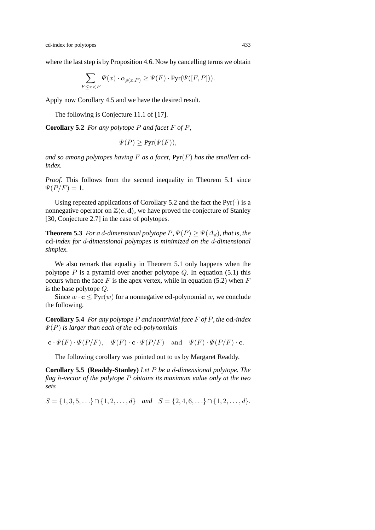where the last step is by Proposition 4.6. Now by cancelling terms we obtain

$$
\sum_{F \le x < P} \Psi(x) \cdot \alpha_{\rho(x,P)} \ge \Psi(F) \cdot \text{Pyr}(\Psi([F, P])).
$$

Apply now Corollary 4.5 and we have the desired result.

The following is Conjecture 11.1 of [17].

**Corollary 5.2** *For any polytope* P *and facet* F *of* P*,*

$$
\Psi(P) \geq \text{Pyr}(\Psi(F)),
$$

and so among polytopes having  $F$  as a facet,  $Pyr(F)$  has the smallest  $cd$ *index.*

*Proof.* This follows from the second inequality in Theorem 5.1 since  $\Psi(P/F)=1.$ 

Using repeated applications of Corollary 5.2 and the fact the  $Pyr(\cdot)$  is a nonnegative operator on  $\mathbb{Z}\langle c, d \rangle$ , we have proved the conjecture of Stanley [30, Conjecture 2.7] in the case of polytopes.

**Theorem 5.3** *For a d-dimensional polytope*  $P$ ,  $\Psi(P) \ge \Psi(\Delta_d)$ *, that is, the* **cd***-index for* d*-dimensional polytopes is minimized on the* d*-dimensional simplex.*

We also remark that equality in Theorem 5.1 only happens when the polytope  $P$  is a pyramid over another polytope  $Q$ . In equation (5.1) this occurs when the face  $F$  is the apex vertex, while in equation (5.2) when  $F$ is the base polytope Q.

Since  $w \cdot c \leq Pyr(w)$  for a nonnegative cd-polynomial w, we conclude the following.

**Corollary 5.4** *For any polytope* P *and nontrivial face* F *of* P*, the* **cd***-index* Ψ(P) *is larger than each of the* **cd***-polynomials*

 $\mathbf{c} \cdot \Psi(F) \cdot \Psi(P/F), \quad \Psi(F) \cdot \mathbf{c} \cdot \Psi(P/F) \quad \text{and} \quad \Psi(F) \cdot \Psi(P/F) \cdot \mathbf{c}.$ 

The following corollary was pointed out to us by Margaret Readdy.

**Corollary 5.5 (Readdy-Stanley)** *Let* P *be a* d*-dimensional polytope. The flag* h*-vector of the polytope* P *obtains its maximum value only at the two sets*

 $S = \{1, 3, 5, \ldots\} \cap \{1, 2, \ldots, d\}$  *and*  $S = \{2, 4, 6, \ldots\} \cap \{1, 2, \ldots, d\}.$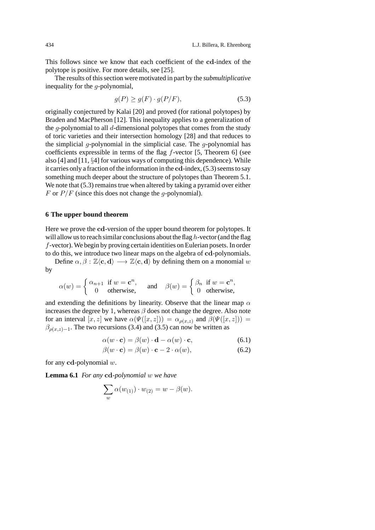This follows since we know that each coefficient of the **cd**-index of the polytope is positive. For more details, see [25].

The results of this section were motivated in part by the *submultiplicative* inequality for the g-polynomial,

$$
g(P) \ge g(F) \cdot g(P/F),\tag{5.3}
$$

originally conjectured by Kalai [20] and proved (for rational polytopes) by Braden and MacPherson [12]. This inequality applies to a generalization of the g-polynomial to all  $d$ -dimensional polytopes that comes from the study of toric varieties and their intersection homology [28] and that reduces to the simplicial  $q$ -polynomial in the simplicial case. The  $q$ -polynomial has coefficients expressible in terms of the flag f-vector [5, Theorem 6] (see also [4] and [11, §4] for various ways of computing this dependence). While it carries only a fraction of the information in the **cd**-index, (5.3) seems to say something much deeper about the structure of polytopes than Theorem 5.1. We note that  $(5.3)$  remains true when altered by taking a pyramid over either F or  $P/F$  (since this does not change the g-polynomial).

### **6 The upper bound theorem**

Here we prove the **cd**-version of the upper bound theorem for polytopes. It will allow us to reach similar conclusions about the flag  $h$ -vector (and the flag f-vector). We begin by proving certain identities on Eulerian posets. In order to do this, we introduce two linear maps on the algebra of **cd**-polynomials.

Define  $\alpha, \beta : \mathbb{Z}\langle \mathbf{c}, \mathbf{d} \rangle \longrightarrow \mathbb{Z}\langle \mathbf{c}, \mathbf{d} \rangle$  by defining them on a monomial w by

$$
\alpha(w) = \begin{cases} \alpha_{n+1} & \text{if } w = \mathbf{c}^n, \\ 0 & \text{otherwise,} \end{cases} \quad \text{and} \quad \beta(w) = \begin{cases} \beta_n & \text{if } w = \mathbf{c}^n, \\ 0 & \text{otherwise,} \end{cases}
$$

and extending the definitions by linearity. Observe that the linear map  $\alpha$ increases the degree by 1, whereas  $\beta$  does not change the degree. Also note for an interval  $[x, z]$  we have  $\alpha(\Psi([x, z])) = \alpha_{\rho(x, z)}$  and  $\beta(\Psi([x, z])) =$  $\beta_{\rho(x,z)-1}$ . The two recursions (3.4) and (3.5) can now be written as

$$
\alpha(w \cdot \mathbf{c}) = \beta(w) \cdot \mathbf{d} - \alpha(w) \cdot \mathbf{c},\tag{6.1}
$$

$$
\beta(w \cdot \mathbf{c}) = \beta(w) \cdot \mathbf{c} - 2 \cdot \alpha(w),\tag{6.2}
$$

for any **cd**-polynomial w.

**Lemma 6.1** *For any* **cd***-polynomial* w *we have*

$$
\sum_{w} \alpha(w_{(1)}) \cdot w_{(2)} = w - \beta(w).
$$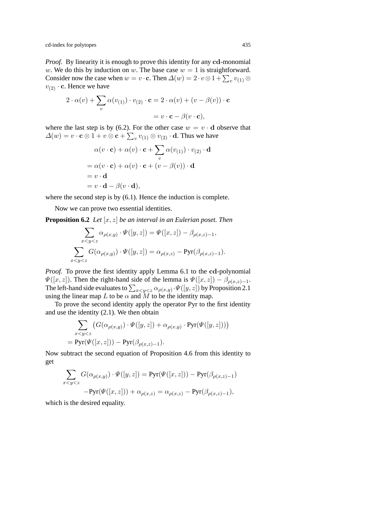*Proof.* By linearity it is enough to prove this identity for any **cd**-monomial w. We do this by induction on w. The base case  $w = 1$  is straightforward. Consider now the case when  $w = v \cdot \mathbf{c}$ . Then  $\Delta(w) = 2 \cdot v \otimes 1 + \sum_{v} v_{(1)} \otimes$  $v_{(2)} \cdot \mathbf{c}$ . Hence we have

$$
2 \cdot \alpha(v) + \sum_{v} \alpha(v_{(1)}) \cdot v_{(2)} \cdot \mathbf{c} = 2 \cdot \alpha(v) + (v - \beta(v)) \cdot \mathbf{c}
$$

$$
= v \cdot \mathbf{c} - \beta(v \cdot \mathbf{c}),
$$

where the last step is by (6.2). For the other case  $w = v \cdot d$  observe that  $\Delta(w) = v \cdot \mathbf{c} \otimes 1 + v \otimes \mathbf{c} + \sum_v v_{(1)} \otimes v_{(2)} \cdot \mathbf{d}$ . Thus we have

$$
\alpha(v \cdot \mathbf{c}) + \alpha(v) \cdot \mathbf{c} + \sum_{v} \alpha(v_{(1)}) \cdot v_{(2)} \cdot \mathbf{d}
$$
  
=  $\alpha(v \cdot \mathbf{c}) + \alpha(v) \cdot \mathbf{c} + (v - \beta(v)) \cdot \mathbf{d}$   
=  $v \cdot \mathbf{d}$   
=  $v \cdot \mathbf{d} - \beta(v \cdot \mathbf{d}),$ 

where the second step is by  $(6.1)$ . Hence the induction is complete.

Now we can prove two essential identities.

**Proposition 6.2** *Let* [x, z] *be an interval in an Eulerian poset. Then*

$$
\sum_{x < y < z} \alpha_{\rho(x,y)} \cdot \Psi([y,z]) = \Psi([x,z]) - \beta_{\rho(x,z)-1},
$$
  

$$
\sum_{x < y < z} G(\alpha_{\rho(x,y)}) \cdot \Psi([y,z]) = \alpha_{\rho(x,z)} - \text{Pyr}(\beta_{\rho(x,z)-1}).
$$

*Proof.* To prove the first identity apply Lemma 6.1 to the **cd**-polynomial  $\Psi([x, z])$ . Then the right-hand side of the lemma is  $\Psi([x, z]) - \beta_{\rho(x, z)-1}$ . The left-hand side evaluates to  $\sum_{x < y < z} \alpha_{\rho(x,y)} \cdot \Psi([y,z])$  by Proposition 2.1 using the linear map L to be  $\alpha$  and M to be the identity map.

To prove the second identity apply the operator Pyr to the first identity and use the identity (2.1). We then obtain

$$
\sum_{x < y < z} \left( G(\alpha_{\rho(x,y)}) \cdot \Psi([y,z]) + \alpha_{\rho(x,y)} \cdot \text{Pyr}(\Psi([y,z])) \right)
$$
  
= 
$$
\text{Pyr}(\Psi([x,z])) - \text{Pyr}(\beta_{\rho(x,z)-1}).
$$

Now subtract the second equation of Proposition 4.6 from this identity to get

$$
\sum_{x < y < z} G(\alpha_{\rho(x,y)}) \cdot \Psi([y,z]) = \text{Pyr}(\Psi([x,z])) - \text{Pyr}(\beta_{\rho(x,z)-1})
$$

$$
-\text{Pyr}(\Psi([x,z])) + \alpha_{\rho(x,z)} = \alpha_{\rho(x,z)} - \text{Pyr}(\beta_{\rho(x,z)-1}),
$$

which is the desired equality.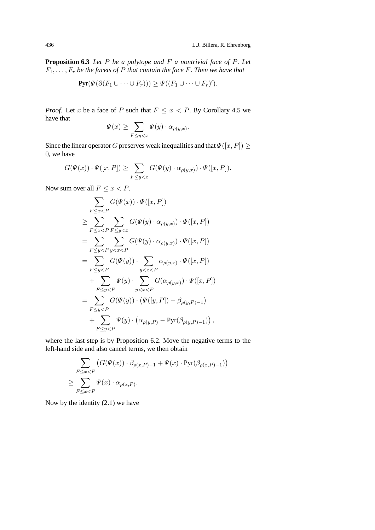**Proposition 6.3** *Let* P *be a polytope and* F *a nontrivial face of* P*. Let*  $F_1, \ldots, F_r$  *be the facets of* P *that contain the face* F. Then we have that

$$
Pyr(\Psi(\partial(F_1 \cup \cdots \cup F_r))) \geq \Psi((F_1 \cup \cdots \cup F_r)').
$$

*Proof.* Let x be a face of P such that  $F \leq x < P$ . By Corollary 4.5 we have that

$$
\Psi(x) \ge \sum_{F \le y < x} \Psi(y) \cdot \alpha_{\rho(y,x)}.
$$

Since the linear operator G preserves weak inequalities and that  $\Psi([x, P]) \geq 0$ 0, we have

$$
G(\Psi(x)) \cdot \Psi([x, P]) \ge \sum_{F \le y < x} G(\Psi(y) \cdot \alpha_{\rho(y, x)}) \cdot \Psi([x, P]).
$$

Now sum over all  $F \leq x < P$ .

$$
\sum_{F \leq x < P} G(\Psi(x)) \cdot \Psi([x, P])
$$
\n
$$
\geq \sum_{F \leq x < P} \sum_{F \leq y < x} G(\Psi(y) \cdot \alpha_{\rho(y,x)}) \cdot \Psi([x, P])
$$
\n
$$
= \sum_{F \leq y < P} \sum_{y < x < P} G(\Psi(y) \cdot \alpha_{\rho(y,x)}) \cdot \Psi([x, P])
$$
\n
$$
= \sum_{F \leq y < P} G(\Psi(y)) \cdot \sum_{y < x < P} \alpha_{\rho(y,x)} \cdot \Psi([x, P])
$$
\n
$$
+ \sum_{F \leq y < P} \Psi(y) \cdot \sum_{y < x < P} G(\alpha_{\rho(y,x)}) \cdot \Psi([x, P])
$$
\n
$$
= \sum_{F \leq y < P} G(\Psi(y)) \cdot (\Psi([y, P]) - \beta_{\rho(y, P) - 1})
$$
\n
$$
+ \sum_{F \leq y < P} \Psi(y) \cdot (\alpha_{\rho(y, P)} - \text{Pyr}(\beta_{\rho(y, P) - 1})),
$$

where the last step is by Proposition 6.2. Move the negative terms to the left-hand side and also cancel terms, we then obtain

$$
\sum_{\substack{F \le x < P}} \left( G(\Psi(x)) \cdot \beta_{\rho(x,P)-1} + \Psi(x) \cdot \text{Pyr}(\beta_{\rho(x,P)-1}) \right)
$$
  
\n
$$
\ge \sum_{F \le x < P} \Psi(x) \cdot \alpha_{\rho(x,P)}.
$$

Now by the identity (2.1) we have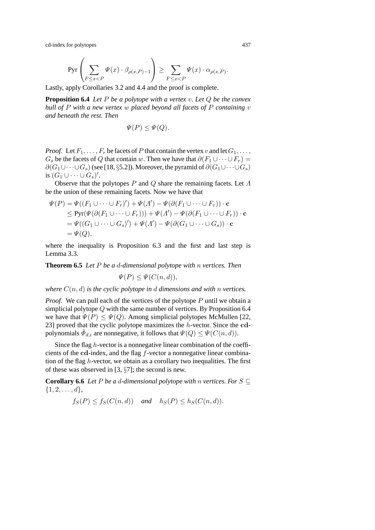$$
\mathrm{Pyr}\left(\sum_{F\leq x < P}\Psi(x)\cdot \beta_{\rho(x,P)-1}\right) \geq \sum_{F\leq x < P}\Psi(x)\cdot \alpha_{\rho(x,P)}.
$$

Lastly, apply Corollaries 3.2 and 4.4 and the proof is complete.

**Proposition 6.4** *Let* P *be a polytope with a vertex* v*. Let* Q *be the convex hull of* P *with a new vertex* w *placed beyond all facets of* P *containing* v *and beneath the rest. Then*

$$
\Psi(P) \le \Psi(Q).
$$

*Proof.* Let  $F_1, \ldots, F_r$  be facets of P that contain the vertex v and let  $G_1, \ldots, G_r$  $G_s$  be the facets of Q that contain w. Then we have that  $\partial(F_1 \cup \cdots \cup F_r)$  =  $\partial(G_1\cup\cdots\cup G_s)$  (see [18, §5.2]). Moreover, the pyramid of  $\partial(G_1\cup\cdots\cup G_s)$ is  $(G_1 \cup \cdots \cup G_s)'$ .

Observe that the polytopes P and Q share the remaining facets. Let  $\Lambda$ be the union of these remaining facets. Now we have that

$$
\Psi(P) = \Psi((F_1 \cup \cdots \cup F_r)') + \Psi(\Lambda') - \Psi(\partial(F_1 \cup \cdots \cup F_r)) \cdot \mathbf{c}
$$
  
\n
$$
\leq \text{Pyr}(\Psi(\partial(F_1 \cup \cdots \cup F_r))) + \Psi(\Lambda') - \Psi(\partial(F_1 \cup \cdots \cup F_r)) \cdot \mathbf{c}
$$
  
\n
$$
= \Psi((G_1 \cup \cdots \cup G_s)') + \Psi(\Lambda') - \Psi(\partial(G_1 \cup \cdots \cup G_s)) \cdot \mathbf{c}
$$
  
\n
$$
= \Psi(Q),
$$

where the inequality is Proposition 6.3 and the first and last step is Lemma 3.3.

**Theorem 6.5** *Let* P *be a* d*-dimensional polytope with* n *vertices. Then*

 $\Psi(P) \leq \Psi(C(n,d)),$ 

*where*  $C(n, d)$  *is the cyclic polytope in d dimensions and with n vertices.* 

*Proof.* We can pull each of the vertices of the polytope P until we obtain a simplicial polytope  $Q$  with the same number of vertices. By Proposition 6.4 we have that  $\Psi(P) \leq \Psi(Q)$ . Among simplicial polytopes McMullen [22, 23] proved that the cyclic polytope maximizes the h-vector. Since the **cd**polynomials  $\check{\Phi}_{d,i}$  are nonnegative, it follows that  $\Psi(Q) \leq \Psi(C(n,d)).$ 

Since the flag h-vector is a nonnegative linear combination of the coefficients of the **cd**-index, and the flag f-vector a nonnegative linear combination of the flag  $h$ -vector, we obtain as a corollary two inequalities. The first of these was observed in [3, §7]; the second is new.

**Corollary 6.6** *Let*  $P$  *be a d-dimensional polytope with n vertices. For*  $S \subseteq$  $\{1, 2, \ldots, d\}$ 

$$
f_S(P) \le f_S(C(n,d)) \quad \text{and} \quad h_S(P) \le h_S(C(n,d)).
$$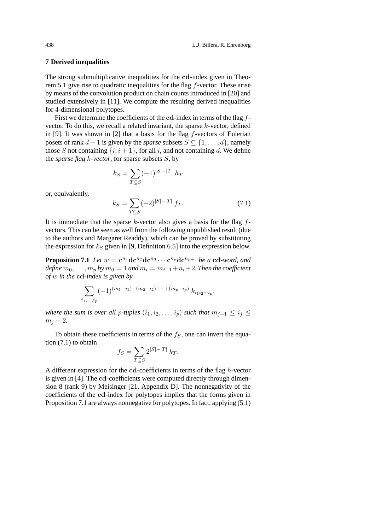#### **7 Derived inequalities**

The strong submultiplicative inequalities for the **cd**-index given in Theorem 5.1 give rise to quadratic inequalities for the flag f-vector. These arise by means of the convolution product on chain counts introduced in [20] and studied extensively in [11]. We compute the resulting derived inequalities for 4-dimensional polytopes.

First we determine the coefficients of the **cd**-index in terms of the flag fvector. To do this, we recall a related invariant, the sparse  $k$ -vector, defined in [9]. It was shown in [2] that a basis for the flag  $f$ -vectors of Eulerian posets of rank  $d + 1$  is given by the *sparse* subsets  $S \subseteq \{1, \ldots, d\}$ , namely those S not containing  $\{i, i+1\}$ , for all i, and not containing d. We define the *sparse flag* k*-vector*, for sparse subsets S, by

$$
k_S = \sum_{T \subseteq S} (-1)^{|S| - |T|} h_T
$$

or, equivalently,

$$
k_S = \sum_{T \subseteq S} (-2)^{|S| - |T|} f_T.
$$
 (7.1)

It is immediate that the sparse  $k$ -vector also gives a basis for the flag  $f$ vectors. This can be seen as well from the following unpublished result (due to the authors and Margaret Readdy), which can be proved by substituting the expression for  $k<sub>S</sub>$  given in [9, Definition 6.5] into the expression below.

**Proposition 7.1** *Let*  $w = \mathbf{c}^{n_1} \mathbf{d} \mathbf{c}^{n_2} \mathbf{d} \mathbf{c}^{n_3} \cdots \mathbf{c}^{n_p} \mathbf{d} \mathbf{c}^{n_{p+1}}$  *be a* **cd***-word, and define*  $m_0, \ldots, m_p$  *by*  $m_0 = 1$  *and*  $m_i = m_{i-1} + n_i + 2$ *. Then the coefficient of* w *in the* **cd***-index is given by*

$$
\sum_{i_1,\dots,i_p} (-1)^{(m_1-i_1)+(m_2-i_2)+\dots+(m_p-i_p)} k_{i_1 i_2 \cdots i_p},
$$

*where the sum is over all p-tuples*  $(i_1, i_2, \ldots, i_p)$  *such that*  $m_{i-1} \leq i_i \leq$  $m_i - 2$ .

To obtain these coefficients in terms of the  $f<sub>S</sub>$ , one can invert the equation (7.1) to obtain

$$
f_S = \sum_{T \subseteq S} 2^{|S| - |T|} k_T.
$$

A different expression for the **cd**-coefficients in terms of the flag h-vector is given in [4]. The **cd**-coefficients were computed directly through dimension 8 (rank 9) by Meisinger [21, Appendix D]. The nonnegativity of the coefficients of the **cd**-index for polytopes implies that the forms given in Proposition 7.1 are always nonnegative for polytopes. In fact, applying (5.1)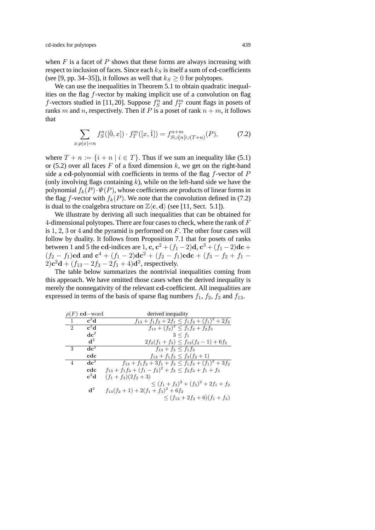when  $F$  is a facet of  $P$  shows that these forms are always increasing with respect to inclusion of faces. Since each  $k<sub>S</sub>$  is itself a sum of  $cd$ -coefficients (see [9, pp. 34–35]), it follows as well that  $k_S \geq 0$  for polytopes.

We can use the inequalities in Theorem 5.1 to obtain quadratic inequalities on the flag f-vector by making implicit use of a convolution on flag *f*-vectors studied in [11,20]. Suppose  $f_S^n$  and  $f_T^m$  count flags in posets of ranks m and n, respectively. Then if P is a poset of rank  $n + m$ , it follows that

$$
\sum_{x:\rho(x)=n} f_S^n([0, x]) \cdot f_T^m([x, \hat{1}]) = f_{S \cup \{n\} \cup (T+n)}^{n+m}(P),\tag{7.2}
$$

where  $T + n := \{i + n | i \in T\}$ . Thus if we sum an inequality like (5.1) or (5.2) over all faces  $F$  of a fixed dimension  $k$ , we get on the right-hand side a cd-polynomial with coefficients in terms of the flag  $f$ -vector of  $P$ (only involving flags containing  $k$ ), while on the left-hand side we have the polynomial  $f_k(P) \cdot \Psi(P)$ , whose coefficients are products of linear forms in the flag f-vector with  $f_k(P)$ . We note that the convolution defined in (7.2) is dual to the coalgebra structure on  $\mathbb{Z}\langle \mathbf{c}, \mathbf{d} \rangle$  (see [11, Sect. 5.1]).

We illustrate by deriving all such inequalities that can be obtained for 4-dimensional polytopes. There are four cases to check, where the rank of  $F$ is  $1, 2, 3$  or 4 and the pyramid is performed on  $F$ . The other four cases will follow by duality. It follows from Proposition 7.1 that for posets of ranks **between** 1 and 5 the **cd**-indices are 1, **c**, **c**<sup>2</sup> + (f<sub>1</sub> − 2)**d**, **c**<sup>3</sup> + (f<sub>1</sub> − 2)**dc** +  $(f_2 - f_1)$ **cd** and  $c^4 + (f_1 - 2)$ **d** $c^2 + (f_2 - f_1)$ **cdc** +  $(f_3 - f_2 + f_1 - f_2)$  $2)c^{2}d + (f_{13} - 2f_{3} - 2f_{1} + 4)d^{2}$ , respectively.

The table below summarizes the nontrivial inequalities coming from this approach. We have omitted those cases when the derived inequality is merely the nonnegativity of the relevant **cd**-coefficient. All inequalities are expressed in terms of the basis of sparse flag numbers  $f_1$ ,  $f_2$ ,  $f_3$  and  $f_{13}$ .

| $\rho(F)$                | $cd$ – word              | derived inequality                                               |
|--------------------------|--------------------------|------------------------------------------------------------------|
| $\mathbf{1}$             | $\overline{c}^2d$        | $f_{13} + f_1 f_2 + 2f_1 \leq f_1 f_3 + (f_1)^2 + 2f_2$          |
| $\mathcal{D}$            | $c^2d$                   | $f_{13}+(f_2)^2\leq f_1f_2+f_2f_3$                               |
|                          | $\mathrm{d}\mathbf{c}^2$ | $3 < f_1$                                                        |
|                          | d <sup>2</sup>           | $2f_2(f_1 + f_3) \le f_{13}(f_2 - 1) + 6f_2$                     |
| 3                        | $\mathbf{d}\mathbf{c}^2$ | $f_{13} + f_3 \leq f_1 f_3$                                      |
|                          | cdc                      | $f_{13} + f_1 f_3 \leq f_3 (f_2 + 1)$                            |
| $\overline{\mathcal{A}}$ | dc <sup>2</sup>          | $f_{13} + f_1 f_2 + 3f_1 + f_3 \leq f_1 f_3 + (f_1)^2 + 3f_2$    |
|                          | cdc                      | $f_{13} + f_1 f_3 + (f_1 - f_2)^2 + f_2 \le f_2 f_3 + f_1 + f_3$ |
|                          | $c^2d$                   | $(f_1 + f_3)(2f_2 + 3)$                                          |
|                          |                          | $\leq (f_1+f_3)^2+(f_2)^2+2f_1+f_2$                              |
|                          | d <sup>2</sup>           | $f_{13}(f_2+1)+2(f_1+f_3)^2+6f_2$                                |
|                          |                          | $\leq (f_{13} + 2f_2 + 6)(f_1 + f_3)$                            |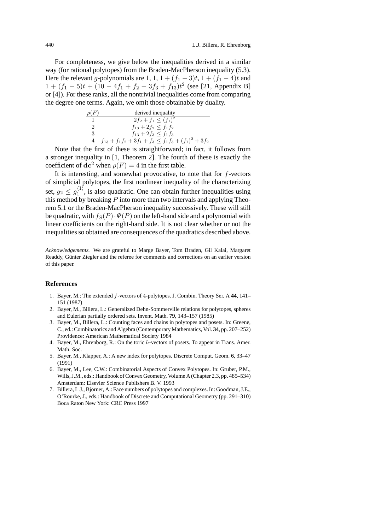For completeness, we give below the inequalities derived in a similar way (for rational polytopes) from the Braden-MacPherson inequality (5.3). Here the relevant g-polynomials are 1, 1,  $1 + (f_1 - 3)t$ ,  $1 + (f_1 - 4)t$  and  $1 + (f_1 - 5)t + (10 - 4f_1 + f_2 - 3f_3 + f_{13})t^2$  (see [21, Appendix B] or [4]). For these ranks, all the nontrivial inequalities come from comparing the degree one terms. Again, we omit those obtainable by duality.

| $\rho(F)$ | derived inequality                                           |
|-----------|--------------------------------------------------------------|
|           | $2f_2 + f_1 \leq (f_1)^2$                                    |
| 2         | $f_{13} + 2f_2 \leq f_1 f_2$                                 |
| 3         | $f_{13} + 2f_3 \leq f_1f_3$                                  |
|           | $f_{13} + f_1 f_2 + 3f_1 + f_3 \le f_1 f_3 + (f_1)^2 + 3f_2$ |

Note that the first of these is straightforward; in fact, it follows from a stronger inequality in [1, Theorem 2]. The fourth of these is exactly the coefficient of  $\text{d} \mathbf{c}^2$  when  $\rho(F)=4$  in the first table.

It is interesting, and somewhat provocative, to note that for  $f$ -vectors of simplicial polytopes, the first nonlinear inequality of the characterizing set,  $g_2 \n\t\leq g_1^{\langle 1 \rangle}$ , is also quadratic. One can obtain further inequalities using this method by breaking  $P$  into more than two intervals and applying Theorem 5.1 or the Braden-MacPherson inequality successively. These will still be quadratic, with  $f_S(P) \cdot \Psi(P)$  on the left-hand side and a polynomial with linear coefficients on the right-hand side. It is not clear whether or not the inequalities so obtained are consequences of the quadratics described above.

*Acknowledgements.* We are grateful to Marge Bayer, Tom Braden, Gil Kalai, Margaret Readdy, Günter Ziegler and the referee for comments and corrections on an earlier version of this paper.

#### **References**

- 1. Bayer, M.: The extended f-vectors of 4-polytopes. J. Combin. Theory Ser. A **44**, 141– 151 (1987)
- 2. Bayer, M., Billera, L.: Generalized Dehn-Sommerville relations for polytopes, spheres and Eulerian partially ordered sets. Invent. Math. **79**, 143–157 (1985)
- 3. Bayer, M., Billera, L.: Counting faces and chains in polytopes and posets. In: Greene, C., ed.: Combinatorics and Algebra (Contemporary Mathematics, Vol. **34**, pp. 207–252) Providence: American Mathematical Society 1984
- 4. Bayer, M., Ehrenborg, R.: On the toric h-vectors of posets. To appear in Trans. Amer. Math. Soc.
- 5. Bayer, M., Klapper, A.: A new index for polytopes. Discrete Comput. Geom. **6**, 33–47 (1991)
- 6. Bayer, M., Lee, C.W.: Combinatorial Aspects of Convex Polytopes. In: Gruber, P.M., Wills, J.M., eds.: Handbook of Convex Geometry, Volume A (Chapter 2.3, pp. 485–534) Amsterdam: Elsevier Science Publishers B. V. 1993
- 7. Billera, L.J., Björner, A.: Face numbers of polytopes and complexes. In: Goodman, J.E., O'Rourke, J., eds.: Handbook of Discrete and Computational Geometry (pp. 291–310) Boca Raton New York: CRC Press 1997